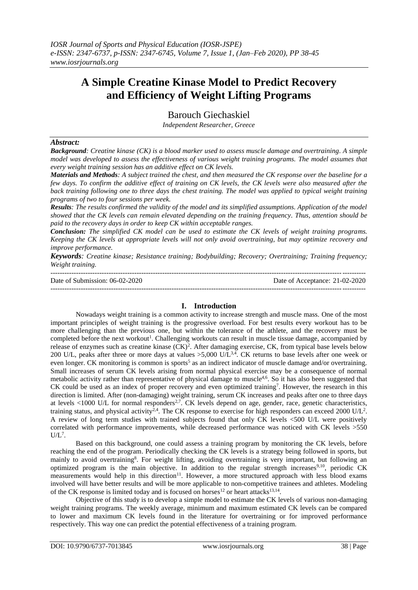# **A Simple Creatine Kinase Model to Predict Recovery and Efficiency of Weight Lifting Programs**

Barouch Giechaskiel

*Independent Researcher, Greece*

## *Abstract:*

*Background: Creatine kinase (CK) is a blood marker used to assess muscle damage and overtraining. A simple model was developed to assess the effectiveness of various weight training programs. The model assumes that every weight training session has an additive effect on CK levels.*

*Materials and Methods: A subject trained the chest, and then measured the CK response over the baseline for a few days. To confirm the additive effect of training on CK levels, the CK levels were also measured after the back training following one to three days the chest training. The model was applied to typical weight training programs of two to four sessions per week.*

*Results: The results confirmed the validity of the model and its simplified assumptions. Application of the model showed that the CK levels can remain elevated depending on the training frequency. Thus, attention should be paid to the recovery days in order to keep CK within acceptable ranges.*

*Conclusion: The simplified CK model can be used to estimate the CK levels of weight training programs. Keeping the CK levels at appropriate levels will not only avoid overtraining, but may optimize recovery and improve performance.*

*Keywords: Creatine kinase; Resistance training; Bodybuilding; Recovery; Overtraining; Training frequency; Weight training.*

| Date of Submission: 06-02-2020 | Date of Acceptance: 21-02-2020 |
|--------------------------------|--------------------------------|
|                                |                                |

# **I. Introduction**

Nowadays weight training is a common activity to increase strength and muscle mass. One of the most important principles of weight training is the progressive overload. For best results every workout has to be more challenging than the previous one, but within the tolerance of the athlete, and the recovery must be completed before the next workout<sup>1</sup>. Challenging workouts can result in muscle tissue damage, accompanied by release of enzymes such as creatine kinase (CK)<sup>2</sup>. After damaging exercise, CK, from typical base levels below 200 U/L, peaks after three or more days at values >5,000 U/L3,4. CK returns to base levels after one week or even longer. CK monitoring is common is sports<sup>5</sup> as an indirect indicator of muscle damage and/or overtraining. Small increases of serum CK levels arising from normal physical exercise may be a consequence of normal metabolic activity rather than representative of physical damage to muscle<sup>4,6</sup>. So it has also been suggested that CK could be used as an index of proper recovery and even optimized training<sup>7</sup>. However, the research in this direction is limited. After (non-damaging) weight training, serum CK increases and peaks after one to three days at levels  $<1000$  U/L for normal responders<sup>2,7</sup>. CK levels depend on age, gender, race, genetic characteristics, training status, and physical activity<sup>2,4</sup>. The CK response to exercise for high responders can exceed 2000 U/L<sup>2</sup>. A review of long term studies with trained subjects found that only CK levels <500 U/L were positively correlated with performance improvements, while decreased performance was noticed with CK levels >550  $UL^7$ .

Based on this background, one could assess a training program by monitoring the CK levels, before reaching the end of the program. Periodically checking the CK levels is a strategy being followed in sports, but mainly to avoid overtraining<sup>8</sup>. For weight lifting, avoiding overtraining is very important, but following an optimized program is the main objective. In addition to the regular strength increases<sup>9,10</sup>, periodic CK measurements would help in this direction<sup>11</sup>. However, a more structured approach with less blood exams involved will have better results and will be more applicable to non-competitive trainees and athletes. Modeling of the CK response is limited today and is focused on horses<sup>12</sup> or heart attacks<sup>13,14</sup>.

Objective of this study is to develop a simple model to estimate the CK levels of various non-damaging weight training programs. The weekly average, minimum and maximum estimated CK levels can be compared to lower and maximum CK levels found in the literature for overtraining or for improved performance respectively. This way one can predict the potential effectiveness of a training program.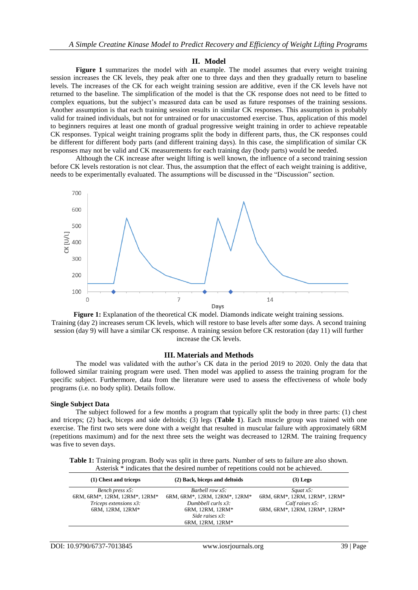#### **II. Model**

**Figure 1** summarizes the model with an example. The model assumes that every weight training session increases the CK levels, they peak after one to three days and then they gradually return to baseline levels. The increases of the CK for each weight training session are additive, even if the CK levels have not returned to the baseline. The simplification of the model is that the CK response does not need to be fitted to complex equations, but the subject's measured data can be used as future responses of the training sessions. Another assumption is that each training session results in similar CK responses. This assumption is probably valid for trained individuals, but not for untrained or for unaccustomed exercise. Thus, application of this model to beginners requires at least one month of gradual progressive weight training in order to achieve repeatable CK responses. Typical weight training programs split the body in different parts, thus, the CK responses could be different for different body parts (and different training days). In this case, the simplification of similar CK responses may not be valid and CK measurements for each training day (body parts) would be needed.

Although the CK increase after weight lifting is well known, the influence of a second training session before CK levels restoration is not clear. Thus, the assumption that the effect of each weight training is additive, needs to be experimentally evaluated. The assumptions will be discussed in the "Discussion" section.



**Figure 1:** Explanation of the theoretical CK model. Diamonds indicate weight training sessions. Training (day 2) increases serum CK levels, which will restore to base levels after some days. A second training session (day 9) will have a similar CK response. A training session before CK restoration (day 11) will further increase the CK levels.

#### **III. Materials and Methods**

The model was validated with the author's CK data in the period 2019 to 2020. Only the data that followed similar training program were used. Then model was applied to assess the training program for the specific subject. Furthermore, data from the literature were used to assess the effectiveness of whole body programs (i.e. no body split). Details follow.

#### **Single Subject Data**

The subject followed for a few months a program that typically split the body in three parts: (1) chest and triceps; (2) back, biceps and side deltoids; (3) legs (**Table 1**). Each muscle group was trained with one exercise. The first two sets were done with a weight that resulted in muscular failure with approximately 6RM (repetitions maximum) and for the next three sets the weight was decreased to 12RM. The training frequency was five to seven days.

**Table 1:** Training program. Body was split in three parts. Number of sets to failure are also shown. Asterisk \* indicates that the desired number of repetitions could not be achieved.

| (1) Chest and triceps                               | (2) Back, biceps and deltoids                                                       | $(3)$ Legs                                          |  |
|-----------------------------------------------------|-------------------------------------------------------------------------------------|-----------------------------------------------------|--|
| Bench press $x5$ :<br>6RM, 6RM*, 12RM, 12RM*, 12RM* | Barbell row $x5$ :<br>6RM, 6RM*, 12RM, 12RM*, 12RM*                                 | Squat $x5$ :<br>6RM, 6RM*, 12RM, 12RM*, 12RM*       |  |
| Triceps extensions x3:<br>6RM, 12RM, 12RM*          | Dumbbell curls $x3$ :<br>6RM, 12RM, 12RM*<br>Side raises $x3$ :<br>6RM, 12RM, 12RM* | Calf raises $x5$ :<br>6RM, 6RM*, 12RM, 12RM*, 12RM* |  |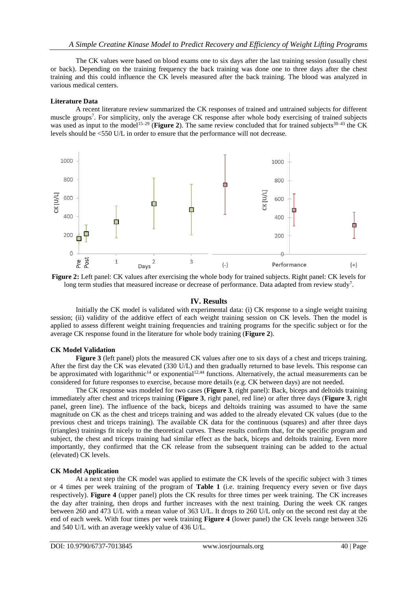The CK values were based on blood exams one to six days after the last training session (usually chest or back). Depending on the training frequency the back training was done one to three days after the chest training and this could influence the CK levels measured after the back training. The blood was analyzed in various medical centers.

## **Literature Data**

A recent literature review summarized the CK responses of trained and untrained subjects for different muscle groups<sup>7</sup>. For simplicity, only the average CK response after whole body exercising of trained subjects was used as input to the model<sup>15–29</sup> (**Figure 2**). The same review concluded that for trained subjects<sup>30–43</sup> the CK levels should be <550 U/L in order to ensure that the performance will not decrease.



**Figure 2:** Left panel: CK values after exercising the whole body for trained subjects. Right panel: CK levels for long term studies that measured increase or decrease of performance. Data adapted from review study<sup>7</sup>.

# **IV. Results**

Initially the CK model is validated with experimental data: (i) CK response to a single weight training session; (ii) validity of the additive effect of each weight training session on CK levels. Then the model is applied to assess different weight training frequencies and training programs for the specific subject or for the average CK response found in the literature for whole body training (**Figure 2**).

## **CK Model Validation**

**Figure 3** (left panel) plots the measured CK values after one to six days of a chest and triceps training. After the first day the CK was elevated (330 U/L) and then gradually returned to base levels. This response can be approximated with logarithmic<sup>14</sup> or exponential<sup>12,44</sup> functions. Alternatively, the actual measurements can be considered for future responses to exercise, because more details (e.g. CK between days) are not needed.

The CK response was modeled for two cases (**Figure 3**, right panel): Back, biceps and deltoids training immediately after chest and triceps training (**Figure 3**, right panel, red line) or after three days (**Figure 3**, right panel, green line). The influence of the back, biceps and deltoids training was assumed to have the same magnitude on CK as the chest and triceps training and was added to the already elevated CK values (due to the previous chest and triceps training). The available CK data for the continuous (squares) and after three days (triangles) trainings fit nicely to the theoretical curves. These results confirm that, for the specific program and subject, the chest and triceps training had similar effect as the back, biceps and deltoids training. Even more importantly, they confirmed that the CK release from the subsequent training can be added to the actual (elevated) CK levels.

## **CK Model Application**

At a next step the CK model was applied to estimate the CK levels of the specific subject with 3 times or 4 times per week training of the program of **Table 1** (i.e. training frequency every seven or five days respectively). **Figure 4** (upper panel) plots the CK results for three times per week training. The CK increases the day after training, then drops and further increases with the next training. During the week CK ranges between 260 and 473 U/L with a mean value of 363 U/L. It drops to 260 U/L only on the second rest day at the end of each week. With four times per week training **Figure 4** (lower panel) the CK levels range between 326 and 540 U/L with an average weekly value of 436 U/L.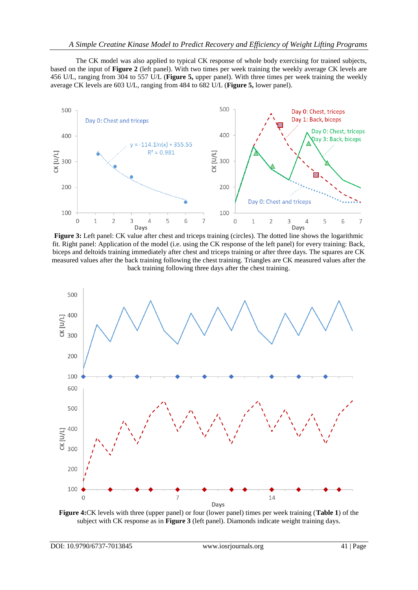The CK model was also applied to typical CK response of whole body exercising for trained subjects, based on the input of **Figure 2** (left panel). With two times per week training the weekly average CK levels are 456 U/L, ranging from 304 to 557 U/L (**Figure 5,** upper panel). With three times per week training the weekly average CK levels are 603 U/L, ranging from 484 to 682 U/L (**Figure 5,** lower panel).



**Figure 3:** Left panel: CK value after chest and triceps training (circles). The dotted line shows the logarithmic fit. Right panel: Application of the model (i.e. using the CK response of the left panel) for every training: Back, biceps and deltoids training immediately after chest and triceps training or after three days. The squares are CK measured values after the back training following the chest training. Triangles are CK measured values after the back training following three days after the chest training.



**Figure 4:**CK levels with three (upper panel) or four (lower panel) times per week training (**Table 1**) of the subject with CK response as in **Figure 3** (left panel). Diamonds indicate weight training days.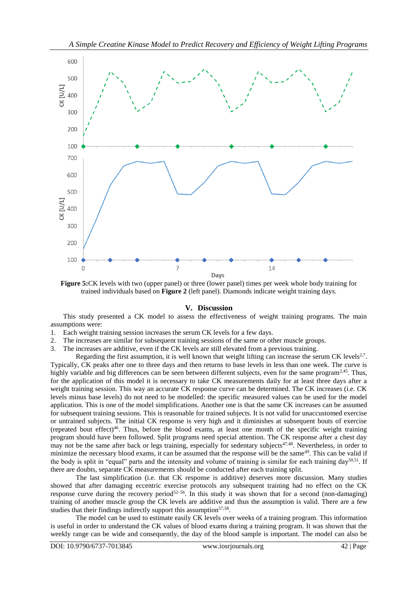

**Figure 5:**CK levels with two (upper panel) or three (lower panel) times per week whole body training for trained individuals based on **Figure 2** (left panel). Diamonds indicate weight training days.

## **V. Discussion**

This study presented a CK model to assess the effectiveness of weight training programs. The main assumptions were:

- 1. Each weight training session increases the serum CK levels for a few days.
- 2. The increases are similar for subsequent training sessions of the same or other muscle groups.
- 3. The increases are additive, even if the CK levels are still elevated from a previous training.

Regarding the first assumption, it is well known that weight lifting can increase the serum CK levels $2^7$ . Typically, CK peaks after one to three days and then returns to base levels in less than one week. The curve is highly variable and big differences can be seen between different subjects, even for the same program<sup>2,45</sup>. Thus, for the application of this model it is necessary to take CK measurements daily for at least three days after a weight training session. This way an accurate CK response curve can be determined. The CK increases (i.e. CK levels minus base levels) do not need to be modelled: the specific measured values can be used for the model application. This is one of the model simplifications. Another one is that the same CK increases can be assumed for subsequent training sessions. This is reasonable for trained subjects. It is not valid for unaccustomed exercise or untrained subjects. The initial CK response is very high and it diminishes at subsequent bouts of exercise (repeated bout effect)<sup>46</sup>. Thus, before the blood exams, at least one month of the specific weight training program should have been followed. Split programs need special attention. The CK response after a chest day may not be the same after back or legs training, especially for sedentary subjects<sup>47,48</sup>. Nevertheless, in order to minimize the necessary blood exams, it can be assumed that the response will be the same<sup>49</sup>. This can be valid if the body is split in "equal" parts and the intensity and volume of training is similar for each training day $50,51$ . If there are doubts, separate CK measurements should be conducted after each training split.

The last simplification (i.e. that CK response is additive) deserves more discussion. Many studies showed that after damaging eccentric exercise protocols any subsequent training had no effect on the CK response curve during the recovery period<sup>52–56</sup>. In this study it was shown that for a second (non-damaging) training of another muscle group the CK levels are additive and thus the assumption is valid. There are a few studies that their findings indirectly support this assumption<sup>57,58</sup>.

The model can be used to estimate easily CK levels over weeks of a training program. This information is useful in order to understand the CK values of blood exams during a training program. It was shown that the weekly range can be wide and consequently, the day of the blood sample is important. The model can also be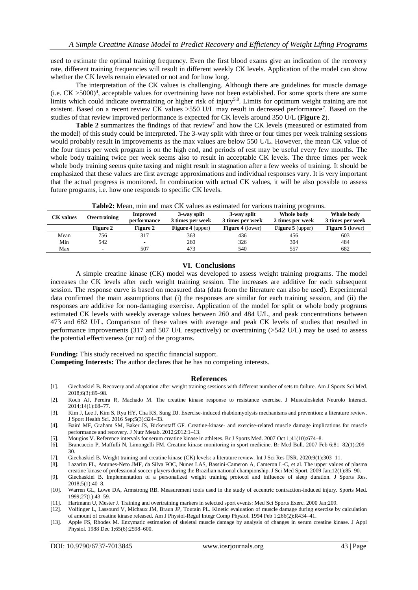used to estimate the optimal training frequency. Even the first blood exams give an indication of the recovery rate, different training frequencies will result in different weekly CK levels. Application of the model can show whether the CK levels remain elevated or not and for how long.

The interpretation of the CK values is challenging. Although there are guidelines for muscle damage (i.e. CK >5000) 4 , acceptable values for overtraining have not been established. For some sports there are some limits which could indicate overtraining or higher risk of injury<sup>5,8</sup>. Limits for optimum weight training are not existent. Based on a recent review CK values > 550 U/L may result in decreased performance<sup>7</sup>. Based on the studies of that review improved performance is expected for CK levels around 350 U/L (**Figure 2**).

Table 2 summarizes the findings of that review<sup>7</sup> and how the CK levels (measured or estimated from the model) of this study could be interpreted. The 3-way split with three or four times per week training sessions would probably result in improvements as the max values are below 550 U/L. However, the mean CK value of the four times per week program is on the high end, and periods of rest may be useful every few months. The whole body training twice per week seems also to result in acceptable CK levels. The three times per week whole body training seems quite taxing and might result in stagnation after a few weeks of training. It should be emphasized that these values are first average approximations and individual responses vary. It is very important that the actual progress is monitored. In combination with actual CK values, it will be also possible to assess future programs, i.e. how one responds to specific CK levels.

| <b>rapical</b> mean, nun and max Cix values as estimated for various training programs. |                          |                         |                                 |                                 |                                |                                |  |
|-----------------------------------------------------------------------------------------|--------------------------|-------------------------|---------------------------------|---------------------------------|--------------------------------|--------------------------------|--|
| <b>CK</b> values                                                                        | Overtraining             | Improved<br>performance | 3-way split<br>3 times per week | 3-way split<br>3 times per week | Whole body<br>2 times per week | Whole body<br>3 times per week |  |
|                                                                                         | Figure 2                 | <b>Figure 2</b>         | <b>Figure 4</b> (upper)         | <b>Figure 4</b> (lower)         | <b>Figure 5</b> (upper)        | <b>Figure 5</b> (lower)        |  |
| Mean                                                                                    | 756                      | 317                     | 363                             | 436                             | 456                            | 603                            |  |
| Min                                                                                     | 542                      | ٠.                      | 260                             | 326                             | 304                            | 484                            |  |
| Max                                                                                     | $\overline{\phantom{a}}$ | 507                     | 473                             | 540                             | 557                            | 682                            |  |

**Table2:** Mean, min and max CK values as estimated for various training programs.

## **VI. Conclusions**

A simple creatine kinase (CK) model was developed to assess weight training programs. The model increases the CK levels after each weight training session. The increases are additive for each subsequent session. The response curve is based on measured data (data from the literature can also be used). Experimental data confirmed the main assumptions that (i) the responses are similar for each training session, and (ii) the responses are additive for non-damaging exercise. Application of the model for split or whole body programs estimated CK levels with weekly average values between 260 and 484 U/L, and peak concentrations between 473 and 682 U/L. Comparison of these values with average and peak CK levels of studies that resulted in performance improvements (317 and 507 U/L respectively) or overtraining (>542 U/L) may be used to assess the potential effectiveness (or not) of the programs.

**Funding:** This study received no specific financial support.

**Competing Interests:** The author declares that he has no competing interests.

## **References**

- [1]. Giechaskiel B. Recovery and adaptation after weight training sessions with different number of sets to failure. Am J Sports Sci Med. 2018;6(3):89–98.
- [2]. Koch AJ, Pereira R, Machado M. The creatine kinase response to resistance exercise. J Musculoskelet Neurolo Interact. 2014;14(1):68–77.
- [3]. Kim J, Lee J, Kim S, Ryu HY, Cha KS, Sung DJ. Exercise-induced rhabdomyolysis mechanisms and prevention: a literature review. J Sport Health Sci. 2016 Sep;5(3):324–33.
- [4]. Baird MF, Graham SM, Baker JS, Bickerstaff GF. Creatine-kinase- and exercise-related muscle damage implications for muscle performance and recovery. J Nutr Metab. 2012;2012:1–13.
- [5]. Mougios V. Reference intervals for serum creatine kinase in athletes. Br J Sports Med. 2007 Oct 1;41(10):674–8.
- [6]. Brancaccio P, Maffulli N, Limongelli FM. Creatine kinase monitoring in sport medicine. Br Med Bull. 2007 Feb 6;81–82(1):209– 30.
- [7]. Giechaskiel B. Weight training and creatine kinase (CK) levels: a literature review. Int J Sci Res IJSR. 2020;9(1):303–11.
- Lazarim FL, Antunes-Neto JMF, da Silva FOC, Nunes LAS, Bassini-Cameron A, Cameron L-C, et al. The upper values of plasma creatine kinase of professional soccer players during the Brazilian national championship. J Sci Med Sport. 2009 Jan;12(1):85–90.
- [9]. Giechaskiel B. Implementation of a personalized weight training protocol and influence of sleep duration. J Sports Res. 2018;5(1):40–8.
- [10]. Warren GL, Lowe DA, Armstrong RB. Measurement tools used in the study of eccentric contraction-induced injury. Sports Med. 1999;27(1):43–59.
- [11]. Hartmann U, Mester J. Training and overtraining markers in selected sport events: Med Sci Sports Exerc. 2000 Jan;209.
- [12]. Volfinger L, Lassourd V, Michaux JM, Braun JP, Toutain PL. Kinetic evaluation of muscle damage during exercise by calculation of amount of creatine kinase released. Am J Physiol-Regul Integr Comp Physiol. 1994 Feb 1;266(2):R434–41.
- [13]. Apple FS, Rhodes M. Enzymatic estimation of skeletal muscle damage by analysis of changes in serum creatine kinase. J Appl Physiol. 1988 Dec 1;65(6):2598–600.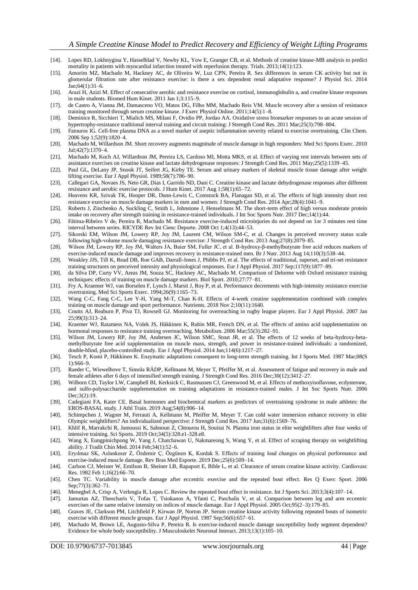- [14]. Lopes RD, Lokhnygina Y, Hasselblad V, Newby KL, Yow E, Granger CB, et al. Methods of creatine kinase-MB analysis to predict mortality in patients with myocardial infarction treated with reperfusion therapy. Trials. 2013;14(1):123.
- [15]. Amorim MZ, Machado M, Hackney AC, de Oliveira W, Luz CPN, Pereira R. Sex differences in serum CK activity but not in glomerular filtration rate after resistance exercise: is there a sex dependent renal adaptative response? J Physiol Sci. 2014 Jan;64(1):31–6.
- [16]. Arazi H, Azizi M. Effect of consecutive aerobic and resistance exercise on cortisol, immunoglobulin a, and creatine kinase responses in male students. Biomed Hum Kinet. 2011 Jan 1;3:115–9.
- [17]. de Castro A, Vianna JM, Damasceno VO, Matos DG, Filho MM, Machado Reis VM. Muscle recovery after a session of resistance training monitored through serum creatine kinase. J Exerc Physiol Online. 2011;14(5):1–8.
- [18]. Deminice R, Sicchieri T, Mialich MS, Milani F, Ovidio PP, Jordao AA. Oxidative stress biomarker responses to an acute session of hypertrophy-resistance traditional interval training and circuit training: J Strength Cond Res. 2011 Mar;25(3):798–804.
- [19]. Fatouros IG. Cell-free plasma DNA as a novel marker of aseptic inflammation severity related to exercise overtraining. Clin Chem. 2006 Sep 1;52(9):1820–4.
- [20]. Machado M, Willardson JM. Short recovery augments magnitude of muscle damage in high responders: Med Sci Sports Exerc. 2010 Jul;42(7):1370–4.
- [21]. Machado M, Koch AJ, Willardson JM, Pereira LS, Cardoso MI, Motta MKS, et al. Effect of varying rest intervals between sets of assistance exercises on creatine kinase and lactate dehydrogenase responses: J Strength Cond Res. 2011 May;25(5):1339–45.
- [22]. Paul GL, DeLany JP, Snook JT, Seifert JG, Kirby TE. Serum and urinary markers of skeletal muscle tissue damage after weight lifting exercise. Eur J Appl Physiol. 1989;58(7):786–90.
- [23]. Callegari GA, Novaes JS, Neto GR, Dias I, Garrido ND, Dani C. Creatine kinase and lactate dehydrogenase responses after different resistance and aerobic exercise protocols. J Hum Kinet. 2017 Aug 1;58(1):65–72.
- [24]. Heavens KR, Szivak TK, Hooper DR, Dunn-Lewis C, Comstock BA, Flanagan SD, et al. The effects of high intensity short rest resistance exercise on muscle damage markers in men and women: J Strength Cond Res. 2014 Apr;28(4):1041–9.
- [25]. Roberts J, Zinchenko A, Suckling C, Smith L, Johnstone J, Henselmans M. The short-term effect of high versus moderate protein intake on recovery after strength training in resistance-trained individuals. J Int Soc Sports Nutr. 2017 Dec;14(1):44.
- [26]. Fátima-Ribeiro V de, Pereira R, Machado M. Resistance exercise-induced microinjuries do not depend on 1or 3 minutes rest time interval between series. RICYDE Rev Int Cienc Deporte. 2008 Oct 1;4(13):44–53.
- [27]. Sikorski EM, Wilson JM, Lowery RP, Joy JM, Laurent CM, Wilson SM-C, et al. Changes in perceived recovery status scale following high-volume muscle damaging resistance exercise: J Strength Cond Res. 2013 Aug;27(8):2079–85.
- [28]. Wilson JM, Lowery RP, Joy JM, Walters JA, Baier SM, Fuller JC, et al. Β-hydroxy-β-methylbutyrate free acid reduces markers of exercise-induced muscle damage and improves recovery in resistance-trained men. Br J Nutr. 2013 Aug 14;110(3):538–44.
- [29]. Weakley JJS, Till K, Read DB, Roe GAB, Darrall-Jones J, Phibbs PJ, et al. The effects of traditional, superset, and tri-set resistance training structures on perceived intensity and physiological responses. Eur J Appl Physiol. 2017 Sep;117(9):1877–89.
- [30]. da Silva DP, Curty VV, Areas JM, Souza SC, Hackney AC, Machado M. Comparison of Delorme with Oxford resistance training techniques: effects of training on muscle damage markers. Biol Sport. 2010;27:77–81.
- [31]. Fry A, Kraemer WJ, van Borselen F, Lynch J, Marsit J, Roy P, et al. Performance decrements with high-intensity resistance exercise overtraining. Med Sci Sports Exerc. 1994;26(9):1165–73.
- [32]. Wang C-C, Fang C-C, Lee Y-H, Yang M-T, Chan K-H. Effects of 4-week creatine supplementation combined with complex training on muscle damage and sport performance. Nutrients. 2018 Nov 2;10(11):1640.
- [33]. Coutts AJ, Reaburn P, Piva TJ, Rowsell GJ. Monitoring for overreaching in rugby league players. Eur J Appl Physiol. 2007 Jan 25;99(3):313–24.
- [34]. Kraemer WJ, Ratamess NA, Volek JS, Häkkinen K, Rubin MR, French DN, et al. The effects of amino acid supplementation on hormonal responses to resistance training overreaching. Metabolism. 2006 Mar;55(3):282–91.
- [35]. Wilson JM, Lowery RP, Joy JM, Andersen JC, Wilson SMC, Stout JR, et al. The effects of 12 weeks of beta-hydroxy-betamethylbutyrate free acid supplementation on muscle mass, strength, and power in resistance-trained individuals: a randomized, double-blind, placebo-controlled study. Eur J Appl Physiol. 2014 Jun;114(6):1217–27.
- [36]. Tesch P, Komi P, Häkkinen K. Enzymatic adaptations consequent to long-term strength training. Int J Sports Med. 1987 Mar;08(S 1):S66–9.
- [37]. Raeder C, Wiewelhove T, Simola RÁDP, Kellmann M, Meyer T, Pfeiffer M, et al. Assessment of fatigue and recovery in male and female athletes after 6 days of intensified strength training. J Strength Cond Res. 2016 Dec;30(12):3412–27.
- [38]. Wilborn CD, Taylor LW, Campbell BI, Kerksick C, Rasmussen CJ, Greenwood M, et al. Effects of methoxyisoflavone, ecdysterone, and sulfo-polysaccharide supplementation on training adaptations in resistance-trained males. J Int Soc Sports Nutr. 2006 Dec;3(2):19.
- [39]. Cadegiani FA, Kater CE. Basal hormones and biochemical markers as predictors of overtraining syndrome in male athletes: the EROS-BASAL study. J Athl Train. 2019 Aug;54(8):906–14.
- [40]. Schimpchen J, Wagner M, Ferrauti A, Kellmann M, Pfeiffer M, Meyer T. Can cold water immersion enhance recovery in elite Olympic weightlifters? An individualized perspective: J Strength Cond Res. 2017 Jun;31(6):1569–76.
- [41]. Khlif R, Marrakchi R, Jamoussi K, Sahnoun Z, Chtourou H, Souissi N. Plasma iron status in elite weightlifters after four weeks of intensive training. Sci Sports. 2019 Oct;34(5):328.e1-328.e8.
- [42]. Wang X, Eungpinichpong W, Yang J, Chatchawan U, Nakmareong S, Wang Y, et al. Effect of scraping therapy on weightlifting ability. J Tradit Chin Med. 2014 Feb;34(1):52–6.
- [43]. Eryılmaz SK, Aslankeser Z, Özdemir Ç, Özgünen K, Kurdak S. Effects of training load changes on physical performance and exercise-induced muscle damage. Rev Bras Med Esporte. 2019 Dec;25(6):509–14.
- [44]. Carlson CJ, Meister W, Emilson B, Sheiner LB, Rapaport E, Bible L, et al. Clearance of serum creatine kinase activity. Cardiovasc Res. 1982 Feb 1;16(2):66–70.
- [45]. Chen TC. Variability in muscle damage after eccentric exercise and the repeated bout effect. Res Q Exerc Sport. 2006 Sep;77(3):362–71.
- [46]. Meneghel A, Crisp A, Verlengia R, Lopes C. Review the repeated bout effect in resistance. Int J Sports Sci. 2013;3(4):107–14.
- [47]. Jamurtas AZ, Theocharis V, Tofas T, Tsiokanos A, Yfanti C, Paschalis V, et al. Comparison between leg and arm eccentric exercises of the same relative intensity on indices of muscle damage. Eur J Appl Physiol. 2005 Oct;95(2–3):179–85.
- [48]. Graves JE, Clarkson PM, Litchfield P, Kirwan JP, Norton JP. Serum creatine kinase activity following repeated bouts of isometric exercise with different muscle groups. Eur J Appl Physiol. 1987 Sep;56(6):657–61.
- [49]. Machado M, Brown LE, Augusto-Silva P, Pereira R. Is exercise-induced muscle damage susceptibility body segment dependent? Evidence for whole body susceptibility. J Musculoskelet Neuronal Interact. 2013;13(1):105–10.